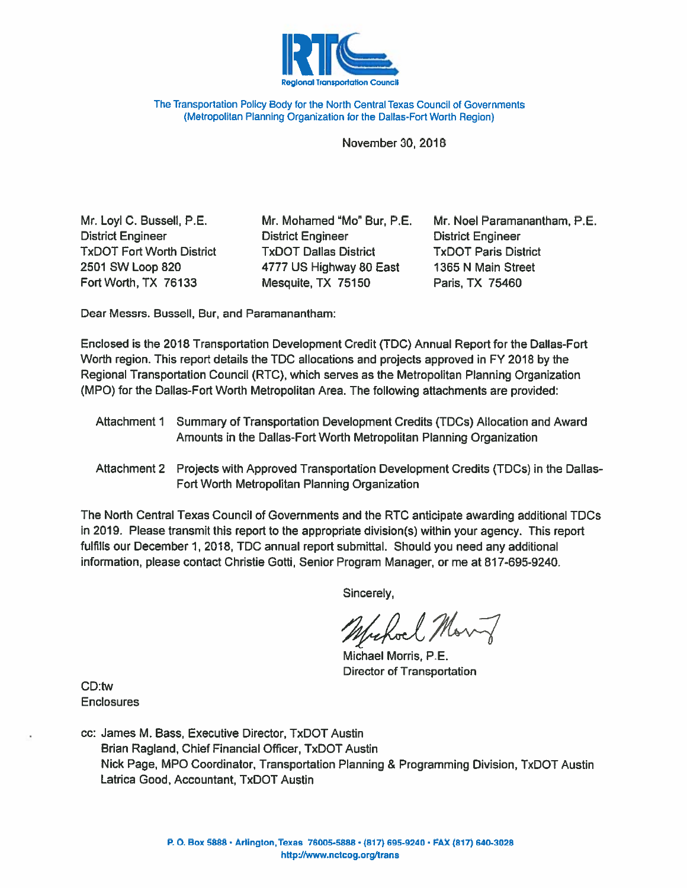

The Transportation Policy Body for the North Central Texas Council of Governments (Metropolitan Planning Organization for the Dallas-Fort Worth Region)

November 30, 2018

Mr. Loyl C. Bussell, P.E. **District Engineer TxDOT Fort Worth District** 2501 SW Loop 820 Fort Worth, TX 76133

Mr. Mohamed "Mo" Bur, P.E. **District Engineer TxDOT Dallas District** 4777 US Highway 80 East Mesquite, TX 75150

Mr. Noel Paramanantham, P.E. **District Engineer TxDOT Paris District** 1365 N Main Street Paris, TX 75460

Dear Messrs. Bussell, Bur, and Paramanantham:

Enclosed is the 2018 Transportation Development Credit (TDC) Annual Report for the Dallas-Fort Worth region. This report details the TDC allocations and projects approved in FY 2018 by the Regional Transportation Council (RTC), which serves as the Metropolitan Planning Organization (MPO) for the Dallas-Fort Worth Metropolitan Area. The following attachments are provided:

- Attachment 1 Summary of Transportation Development Credits (TDCs) Allocation and Award Amounts in the Dallas-Fort Worth Metropolitan Planning Organization
- Attachment 2 Projects with Approved Transportation Development Credits (TDCs) in the Dallas-Fort Worth Metropolitan Planning Organization

The North Central Texas Council of Governments and the RTC anticipate awarding additional TDCs in 2019. Please transmit this report to the appropriate division(s) within your agency. This report fulfills our December 1, 2018, TDC annual report submittal. Should you need any additional information, please contact Christie Gotti, Senior Program Manager, or me at 817-695-9240.

Sincerely,

refact Mont

Michael Morris, P.E. **Director of Transportation** 

CD:tw **Enclosures** 

cc: James M. Bass, Executive Director, TxDOT Austin Brian Ragland, Chief Financial Officer, TxDOT Austin Nick Page, MPO Coordinator, Transportation Planning & Programming Division, TxDOT Austin Latrica Good, Accountant, TxDOT Austin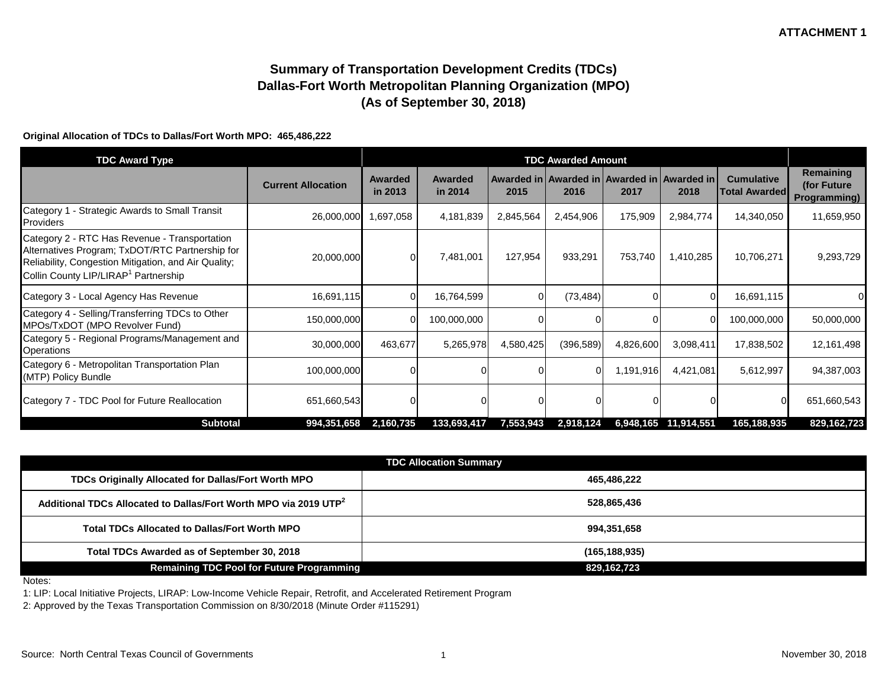# **Summary of Transportation Development Credits (TDCs) Dallas-Fort Worth Metropolitan Planning Organization (MPO) (As of September 30, 2018)**

#### **Original Allocation of TDCs to Dallas/Fort Worth MPO: 465,486,222**

| <b>TDC Award Type</b>                                                                                                                                                                                        |                           | <b>TDC Awarded Amount</b> |                           |           |            |           |                                                             |                                           |                                                  |
|--------------------------------------------------------------------------------------------------------------------------------------------------------------------------------------------------------------|---------------------------|---------------------------|---------------------------|-----------|------------|-----------|-------------------------------------------------------------|-------------------------------------------|--------------------------------------------------|
|                                                                                                                                                                                                              | <b>Current Allocation</b> | <b>Awarded</b><br>in 2013 | <b>Awarded</b><br>in 2014 | 2015      | 2016       | 2017      | Awarded in   Awarded in   Awarded in   Awarded in  <br>2018 | <b>Cumulative</b><br><b>Total Awarded</b> | Remaining<br>(for Future)<br><b>Programming)</b> |
| - Strategic Awards to Small Transit<br>Category 1<br>Providers                                                                                                                                               | 26,000,000                | 1,697,058                 | 4,181,839                 | 2,845,564 | 2,454,906  | 175,909   | 2,984,774                                                   | 14,340,050                                | 11,659,950                                       |
| Category 2 - RTC Has Revenue - Transportation<br>Alternatives Program; TxDOT/RTC Partnership for<br>Reliability, Congestion Mitigation, and Air Quality;<br>Collin County LIP/LIRAP <sup>1</sup> Partnership | 20,000,000                | $\Omega$                  | 7,481,001                 | 127,954   | 933,291    | 753,740   | 1,410,285                                                   | 10,706,271                                | 9,293,729                                        |
| Category 3 - Local Agency Has Revenue                                                                                                                                                                        | 16,691,115                | 01                        | 16,764,599                | 0         | (73, 484)  |           |                                                             | 16,691,115                                | 0                                                |
| Category 4 - Selling/Transferring TDCs to Other<br>MPOs/TxDOT (MPO Revolver Fund)                                                                                                                            | 150,000,000               | 0                         | 100,000,000               | 0         |            |           |                                                             | 100,000,000                               | 50,000,000                                       |
| Category 5 - Regional Programs/Management and<br><b>Operations</b>                                                                                                                                           | 30,000,000                | 463,677                   | 5,265,978                 | 4,580,425 | (396, 589) | 4,826,600 | 3,098,411                                                   | 17,838,502                                | 12,161,498                                       |
| Category 6 - Metropolitan Transportation Plan<br>(MTP) Policy Bundle                                                                                                                                         | 100,000,000               |                           |                           |           | $\Omega$   | 1,191,916 | 4,421,081                                                   | 5,612,997                                 | 94,387,003                                       |
| Category 7 - TDC Pool for Future Reallocation                                                                                                                                                                | 651,660,543               |                           |                           |           |            |           |                                                             |                                           | 651,660,543                                      |
| <b>Subtotal</b>                                                                                                                                                                                              | 994,351,658               | 2,160,735                 | 133,693,417               | 7,553,943 | 2,918,124  |           | 6,948,165 11,914,551                                        | 165,188,935                               | 829,162,723                                      |

| <b>TDC Allocation Summary</b>                                                |                 |  |  |  |  |  |  |
|------------------------------------------------------------------------------|-----------------|--|--|--|--|--|--|
| TDCs Originally Allocated for Dallas/Fort Worth MPO                          | 465,486,222     |  |  |  |  |  |  |
| Additional TDCs Allocated to Dallas/Fort Worth MPO via 2019 UTP <sup>2</sup> | 528,865,436     |  |  |  |  |  |  |
| <b>Total TDCs Allocated to Dallas/Fort Worth MPO</b>                         | 994,351,658     |  |  |  |  |  |  |
| Total TDCs Awarded as of September 30, 2018                                  | (165, 188, 935) |  |  |  |  |  |  |
| <b>Remaining TDC Pool for Future Programming</b>                             | 829,162,723     |  |  |  |  |  |  |

Notes:

1: LIP: Local Initiative Projects, LIRAP: Low-Income Vehicle Repair, Retrofit, and Accelerated Retirement Program

2: Approved by the Texas Transportation Commission on 8/30/2018 (Minute Order #115291)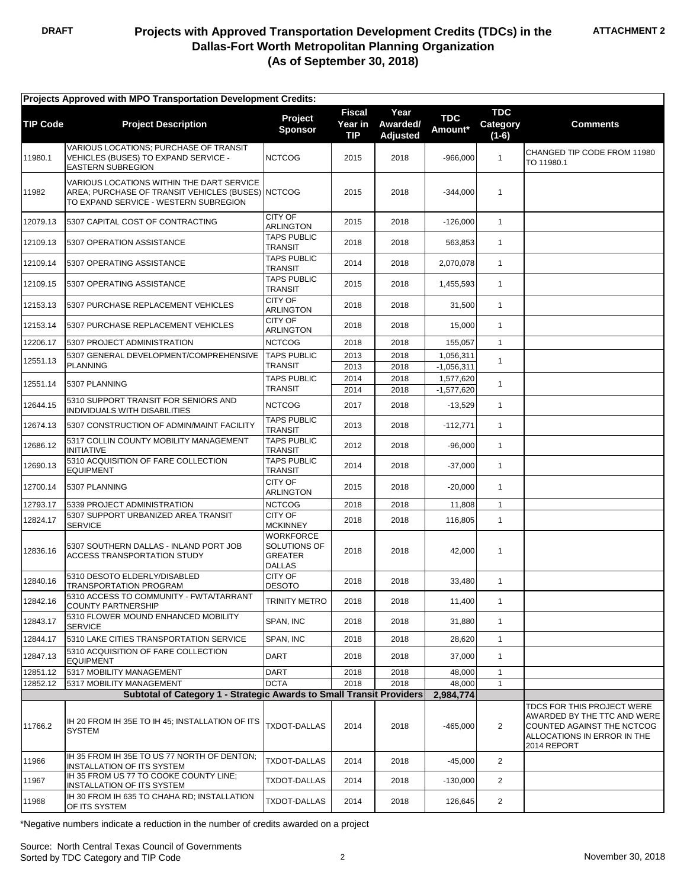| Projects Approved with MPO Transportation Development Credits: |                                                                                                                                         |                                                              |                                        |                                     |                       |                                   |                                                                                                                                       |  |
|----------------------------------------------------------------|-----------------------------------------------------------------------------------------------------------------------------------------|--------------------------------------------------------------|----------------------------------------|-------------------------------------|-----------------------|-----------------------------------|---------------------------------------------------------------------------------------------------------------------------------------|--|
| <b>TIP Code</b>                                                | <b>Project Description</b>                                                                                                              | Project<br><b>Sponsor</b>                                    | Fiscal<br><b>Year in</b><br><b>TIP</b> | Year<br>Awarded/<br><b>Adjusted</b> | <b>TDC</b><br>Amount* | <b>TDC</b><br>Category<br>$(1-6)$ | <b>Comments</b>                                                                                                                       |  |
| 11980.1                                                        | VARIOUS LOCATIONS; PURCHASE OF TRANSIT<br>VEHICLES (BUSES) TO EXPAND SERVICE -<br><b>EASTERN SUBREGION</b>                              | <b>NCTCOG</b>                                                | 2015                                   | 2018                                | $-966.000$            | $\mathbf{1}$                      | CHANGED TIP CODE FROM 11980<br>TO 11980.1                                                                                             |  |
| 11982                                                          | VARIOUS LOCATIONS WITHIN THE DART SERVICE<br>AREA; PURCHASE OF TRANSIT VEHICLES (BUSES) NCTCOG<br>TO EXPAND SERVICE - WESTERN SUBREGION |                                                              | 2015                                   | 2018                                | $-344,000$            | $\mathbf{1}$                      |                                                                                                                                       |  |
| 12079.13                                                       | 5307 CAPITAL COST OF CONTRACTING                                                                                                        | <b>CITY OF</b><br>ARLINGTON                                  | 2015                                   | 2018                                | $-126,000$            | $\mathbf{1}$                      |                                                                                                                                       |  |
| 12109.13                                                       | 5307 OPERATION ASSISTANCE                                                                                                               | <b>TAPS PUBLIC</b><br>TRANSIT                                | 2018                                   | 2018                                | 563,853               | $\mathbf{1}$                      |                                                                                                                                       |  |
| 12109.14                                                       | 5307 OPERATING ASSISTANCE                                                                                                               | <b>TAPS PUBLIC</b><br>TRANSIT                                | 2014                                   | 2018                                | 2,070,078             | $\mathbf{1}$                      |                                                                                                                                       |  |
| 12109.15                                                       | 5307 OPERATING ASSISTANCE                                                                                                               | <b>TAPS PUBLIC</b><br><b>TRANSIT</b>                         | 2015                                   | 2018                                | 1,455,593             | $\mathbf{1}$                      |                                                                                                                                       |  |
| 12153.13                                                       | 5307 PURCHASE REPLACEMENT VEHICLES                                                                                                      | <b>CITY OF</b><br><b>ARLINGTON</b>                           | 2018                                   | 2018                                | 31,500                | $\mathbf{1}$                      |                                                                                                                                       |  |
| 12153.14                                                       | 5307 PURCHASE REPLACEMENT VEHICLES                                                                                                      | CITY OF<br>ARLINGTON                                         | 2018                                   | 2018                                | 15,000                | $\mathbf{1}$                      |                                                                                                                                       |  |
| 12206.17                                                       | 5307 PROJECT ADMINISTRATION                                                                                                             | <b>NCTCOG</b>                                                | 2018                                   | 2018                                | 155.057               | $\mathbf{1}$                      |                                                                                                                                       |  |
| 12551.13                                                       | 5307 GENERAL DEVELOPMENT/COMPREHENSIVE                                                                                                  | <b>TAPS PUBLIC</b>                                           | 2013                                   | 2018                                | 1,056,311             | $\mathbf{1}$                      |                                                                                                                                       |  |
|                                                                | <b>PLANNING</b>                                                                                                                         | <b>TRANSIT</b>                                               | 2013                                   | 2018                                | $-1,056,311$          |                                   |                                                                                                                                       |  |
| 12551.14                                                       | 5307 PLANNING                                                                                                                           | <b>TAPS PUBLIC</b>                                           | 2014                                   | 2018                                | 1,577,620             | $\mathbf{1}$                      |                                                                                                                                       |  |
|                                                                |                                                                                                                                         | TRANSIT                                                      | 2014                                   | 2018                                | $-1,577,620$          |                                   |                                                                                                                                       |  |
| 12644.15                                                       | 5310 SUPPORT TRANSIT FOR SENIORS AND<br>INDIVIDUALS WITH DISABILITIES                                                                   | <b>NCTCOG</b>                                                | 2017                                   | 2018                                | $-13,529$             | $\mathbf{1}$                      |                                                                                                                                       |  |
| 12674.13                                                       | 5307 CONSTRUCTION OF ADMIN/MAINT FACILITY                                                                                               | <b>TAPS PUBLIC</b><br><b>TRANSIT</b>                         | 2013                                   | 2018                                | $-112,771$            | $\mathbf{1}$                      |                                                                                                                                       |  |
| 12686.12                                                       | 5317 COLLIN COUNTY MOBILITY MANAGEMENT<br><b>INITIATIVE</b>                                                                             | <b>TAPS PUBLIC</b><br>TRANSIT                                | 2012                                   | 2018                                | $-96,000$             | $\mathbf{1}$                      |                                                                                                                                       |  |
| 12690.13                                                       | 5310 ACQUISITION OF FARE COLLECTION<br><b>EQUIPMENT</b>                                                                                 | <b>TAPS PUBLIC</b><br>TRANSIT                                | 2014                                   | 2018                                | $-37,000$             | $\mathbf{1}$                      |                                                                                                                                       |  |
| 12700.14                                                       | 5307 PLANNING                                                                                                                           | CITY OF<br><b>ARLINGTON</b>                                  | 2015                                   | 2018                                | $-20,000$             | $\mathbf{1}$                      |                                                                                                                                       |  |
| 12793.17                                                       | 5339 PROJECT ADMINISTRATION                                                                                                             | <b>NCTCOG</b>                                                | 2018                                   | 2018                                | 11,808                | $\mathbf{1}$                      |                                                                                                                                       |  |
| 12824.17                                                       | 5307 SUPPORT URBANIZED AREA TRANSIT<br><b>SERVICE</b>                                                                                   | CITY OF<br><b>MCKINNEY</b>                                   | 2018                                   | 2018                                | 116,805               | $\mathbf{1}$                      |                                                                                                                                       |  |
| 12836.16                                                       | 5307 SOUTHERN DALLAS - INLAND PORT JOB<br>ACCESS TRANSPORTATION STUDY                                                                   | WORKFORCE<br>SOLUTIONS OF<br><b>GREATER</b><br><b>DALLAS</b> | 2018                                   | 2018                                | 42,000                | $\mathbf{1}$                      |                                                                                                                                       |  |
| 12840.16                                                       | 5310 DESOTO ELDERLY/DISABLED<br>TRANSPORTATION PROGRAM                                                                                  | CITY OF<br><b>DESOTO</b>                                     | 2018                                   | 2018                                | 33,480                | $\mathbf{1}$                      |                                                                                                                                       |  |
| 12842.16                                                       | 5310 ACCESS TO COMMUNITY - FW TA/TARRANT<br><b>COUNTY PARTNERSHIP</b>                                                                   | TRINITY METRO                                                | 2018                                   | 2018                                | 11,400                | $\mathbf{1}$                      |                                                                                                                                       |  |
| 12843.17                                                       | 5310 FLOWER MOUND ENHANCED MOBILITY<br><b>SERVICE</b>                                                                                   | SPAN, INC                                                    | 2018                                   | 2018                                | 31,880                | $\mathbf{1}$                      |                                                                                                                                       |  |
| 12844.17                                                       | 5310 LAKE CITIES TRANSPORTATION SERVICE                                                                                                 | SPAN, INC                                                    | 2018                                   | 2018                                | 28,620                | $\mathbf{1}$                      |                                                                                                                                       |  |
| 12847.13                                                       | 5310 ACQUISITION OF FARE COLLECTION<br><b>EQUIPMENT</b>                                                                                 | DART                                                         | 2018                                   | 2018                                | 37,000                | $\mathbf{1}$                      |                                                                                                                                       |  |
| 12851.12                                                       | 5317 MOBILITY MANAGEMENT                                                                                                                | DART                                                         | 2018                                   | 2018                                | 48,000                | $\mathbf{1}$                      |                                                                                                                                       |  |
| 12852.12                                                       | 5317 MOBILITY MANAGEMENT                                                                                                                | <b>DCTA</b>                                                  | 2018                                   | 2018                                | 48,000                | 1                                 |                                                                                                                                       |  |
|                                                                | Subtotal of Category 1 - Strategic Awards to Small Transit Providers                                                                    |                                                              |                                        |                                     | 2,984,774             |                                   |                                                                                                                                       |  |
| 11766.2                                                        | IH 20 FROM IH 35E TO IH 45; INSTALLATION OF ITS<br><b>SYSTEM</b>                                                                        | <b>TXDOT-DALLAS</b>                                          | 2014                                   | 2018                                | $-465,000$            | $\overline{2}$                    | TDCS FOR THIS PROJECT WERE<br>AWARDED BY THE TTC AND WERE<br>COUNTED AGAINST THE NCTCOG<br>ALLOCATIONS IN ERROR IN THE<br>2014 REPORT |  |
| 11966                                                          | IH 35 FROM IH 35E TO US 77 NORTH OF DENTON;<br><b>INSTALLATION OF ITS SYSTEM</b>                                                        | <b>TXDOT-DALLAS</b>                                          | 2014                                   | 2018                                | $-45,000$             | 2                                 |                                                                                                                                       |  |
| 11967                                                          | IH 35 FROM US 77 TO COOKE COUNTY LINE;<br>INSTALLATION OF ITS SYSTEM                                                                    | TXDOT-DALLAS                                                 | 2014                                   | 2018                                | $-130,000$            | $\overline{2}$                    |                                                                                                                                       |  |
| 11968                                                          | IH 30 FROM IH 635 TO CHAHA RD; INSTALLATION<br>OF ITS SYSTEM                                                                            | <b>TXDOT-DALLAS</b>                                          | 2014                                   | 2018                                | 126,645               | $\overline{2}$                    |                                                                                                                                       |  |

\*Negative numbers indicate a reduction in the number of credits awarded on a project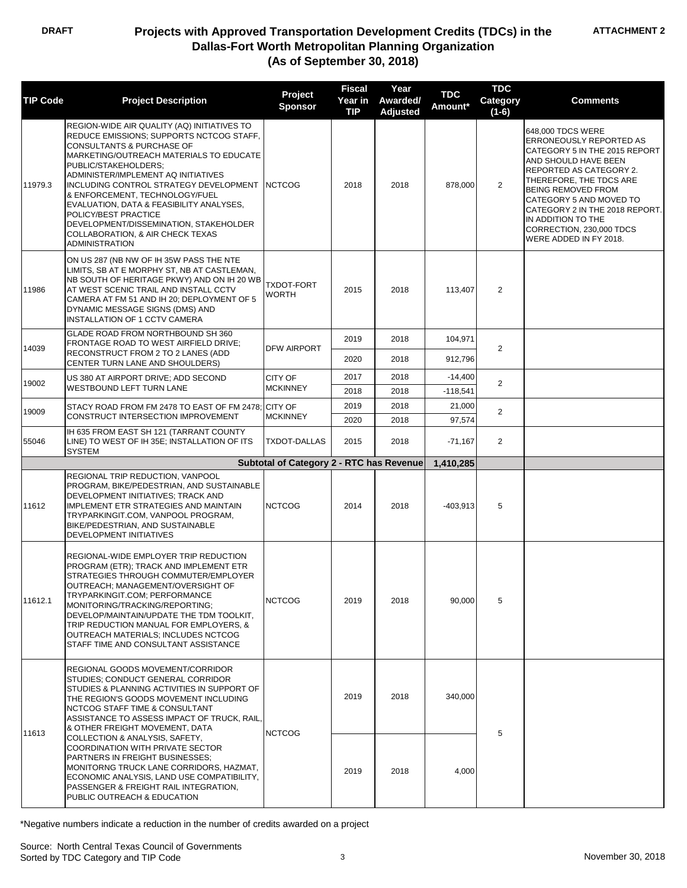| <b>TIP Code</b>                         | <b>Project Description</b>                                                                                                                                                                                                                                                                                                                                                                                                                                                                                         | Project<br><b>Sponsor</b>                | <b>Fiscal</b><br>Year in<br><b>TIP</b> | Year<br>Awarded/<br><b>Adjusted</b> | <b>TDC</b><br>Amount* | <b>TDC</b><br>Category<br>$(1-6)$ | <b>Comments</b>                                                                                                                                                                                                                                                                                                                   |
|-----------------------------------------|--------------------------------------------------------------------------------------------------------------------------------------------------------------------------------------------------------------------------------------------------------------------------------------------------------------------------------------------------------------------------------------------------------------------------------------------------------------------------------------------------------------------|------------------------------------------|----------------------------------------|-------------------------------------|-----------------------|-----------------------------------|-----------------------------------------------------------------------------------------------------------------------------------------------------------------------------------------------------------------------------------------------------------------------------------------------------------------------------------|
| 11979.3                                 | REGION-WIDE AIR QUALITY (AQ) INITIATIVES TO<br>REDUCE EMISSIONS; SUPPORTS NCTCOG STAFF,<br><b>CONSULTANTS &amp; PURCHASE OF</b><br>MARKETING/OUTREACH MATERIALS TO EDUCATE<br>PUBLIC/STAKEHOLDERS;<br>ADMINISTER/IMPLEMENT AQ INITIATIVES<br>INCLUDING CONTROL STRATEGY DEVELOPMENT NCTCOG<br>& ENFORCEMENT, TECHNOLOGY/FUEL<br>EVALUATION, DATA & FEASIBILITY ANALYSES,<br>POLICY/BEST PRACTICE<br>DEVELOPMENT/DISSEMINATION, STAKEHOLDER<br><b>COLLABORATION, &amp; AIR CHECK TEXAS</b><br><b>ADMINISTRATION</b> |                                          | 2018                                   | 2018                                | 878,000               | 2                                 | 648,000 TDCS WERE<br>ERRONEOUSLY REPORTED AS<br>CATEGORY 5 IN THE 2015 REPORT<br>AND SHOULD HAVE BEEN<br>REPORTED AS CATEGORY 2.<br>THEREFORE, THE TDCS ARE<br><b>BEING REMOVED FROM</b><br>CATEGORY 5 AND MOVED TO<br>CATEGORY 2 IN THE 2018 REPORT.<br>IN ADDITION TO THE<br>CORRECTION, 230,000 TDCS<br>WERE ADDED IN FY 2018. |
| 11986                                   | ON US 287 (NB NW OF IH 35W PASS THE NTE<br>LIMITS, SB AT E MORPHY ST, NB AT CASTLEMAN,<br>NB SOUTH OF HERITAGE PKWY) AND ON IH 20 WB<br>AT WEST SCENIC TRAIL AND INSTALL CCTV<br>CAMERA AT FM 51 AND IH 20: DEPLOYMENT OF 5<br>DYNAMIC MESSAGE SIGNS (DMS) AND<br>INSTALLATION OF 1 CCTV CAMERA                                                                                                                                                                                                                    | <b>TXDOT-FORT</b><br><b>WORTH</b>        | 2015                                   | 2018                                | 113,407               | 2                                 |                                                                                                                                                                                                                                                                                                                                   |
|                                         | GLADE ROAD FROM NORTHBOUND SH 360<br>FRONTAGE ROAD TO WEST AIRFIELD DRIVE;                                                                                                                                                                                                                                                                                                                                                                                                                                         |                                          | 2019                                   | 2018                                | 104,971               |                                   |                                                                                                                                                                                                                                                                                                                                   |
| 14039                                   | RECONSTRUCT FROM 2 TO 2 LANES (ADD<br>CENTER TURN LANE AND SHOULDERS)                                                                                                                                                                                                                                                                                                                                                                                                                                              | <b>DFW AIRPORT</b>                       | 2020                                   | 2018                                | 912,796               | 2                                 |                                                                                                                                                                                                                                                                                                                                   |
| 19002                                   | US 380 AT AIRPORT DRIVE; ADD SECOND                                                                                                                                                                                                                                                                                                                                                                                                                                                                                | <b>CITY OF</b>                           | 2017                                   | 2018                                | $-14,400$             | $\overline{2}$                    |                                                                                                                                                                                                                                                                                                                                   |
|                                         | <b>WESTBOUND LEFT TURN LANE</b>                                                                                                                                                                                                                                                                                                                                                                                                                                                                                    | <b>MCKINNEY</b>                          | 2018                                   | 2018                                | $-118,541$            |                                   |                                                                                                                                                                                                                                                                                                                                   |
| 19009                                   | STACY ROAD FROM FM 2478 TO EAST OF FM 2478; CITY OF<br>CONSTRUCT INTERSECTION IMPROVEMENT                                                                                                                                                                                                                                                                                                                                                                                                                          | <b>MCKINNEY</b>                          | 2019<br>2020                           | 2018<br>2018                        | 21,000<br>97,574      | 2                                 |                                                                                                                                                                                                                                                                                                                                   |
| 55046                                   | IH 635 FROM EAST SH 121 (TARRANT COUNTY<br>LINE) TO WEST OF IH 35E; INSTALLATION OF ITS<br><b>SYSTEM</b>                                                                                                                                                                                                                                                                                                                                                                                                           | <b>TXDOT-DALLAS</b>                      | 2015                                   | 2018                                | $-71,167$             | 2                                 |                                                                                                                                                                                                                                                                                                                                   |
|                                         |                                                                                                                                                                                                                                                                                                                                                                                                                                                                                                                    | Subtotal of Category 2 - RTC has Revenue |                                        |                                     | 1,410,285             |                                   |                                                                                                                                                                                                                                                                                                                                   |
| 11612                                   | REGIONAL TRIP REDUCTION, VANPOOL<br>PROGRAM, BIKE/PEDESTRIAN, AND SUSTAINABLE<br>DEVELOPMENT INITIATIVES; TRACK AND<br><b>IMPLEMENT ETR STRATEGIES AND MAINTAIN</b><br>TRYPARKINGIT.COM, VANPOOL PROGRAM,<br>BIKE/PEDESTRIAN, AND SUSTAINABLE<br>DEVELOPMENT INITIATIVES                                                                                                                                                                                                                                           | <b>NCTCOG</b>                            | 2014                                   | 2018                                | $-403,913$            | 5                                 |                                                                                                                                                                                                                                                                                                                                   |
| 11612.1                                 | REGIONAL-WIDE EMPLOYER TRIP REDUCTION<br>PROGRAM (ETR); TRACK AND IMPLEMENT ETR<br>STRATEGIES THROUGH COMMUTER/EMPLOYER<br>OUTREACH; MANAGEMENT/OVERSIGHT OF<br>TRYPARKINGIT.COM: PERFORMANCE<br>MONITORING/TRACKING/REPORTING;<br>DEVELOP/MAINTAIN/UPDATE THE TDM TOOLKIT,<br>TRIP REDUCTION MANUAL FOR EMPLOYERS, &<br>OUTREACH MATERIALS; INCLUDES NCTCOG<br>STAFF TIME AND CONSULTANT ASSISTANCE                                                                                                               | <b>NCTCOG</b>                            | 2019                                   | 2018                                | 90.000                | 5                                 |                                                                                                                                                                                                                                                                                                                                   |
| & OTHER FREIGHT MOVEMENT, DATA<br>11613 | REGIONAL GOODS MOVEMENT/CORRIDOR<br>STUDIES; CONDUCT GENERAL CORRIDOR<br>STUDIES & PLANNING ACTIVITIES IN SUPPORT OF<br>THE REGION'S GOODS MOVEMENT INCLUDING<br>NCTCOG STAFF TIME & CONSULTANT<br>ASSISTANCE TO ASSESS IMPACT OF TRUCK, RAIL,                                                                                                                                                                                                                                                                     | <b>NCTCOG</b>                            | 2019                                   | 2018                                | 340,000               | 5                                 |                                                                                                                                                                                                                                                                                                                                   |
|                                         | COLLECTION & ANALYSIS, SAFETY,<br>COORDINATION WITH PRIVATE SECTOR<br><b>PARTNERS IN FREIGHT BUSINESSES:</b><br>MONITORNG TRUCK LANE CORRIDORS, HAZMAT,<br>ECONOMIC ANALYSIS, LAND USE COMPATIBILITY,<br>PASSENGER & FREIGHT RAIL INTEGRATION,<br>PUBLIC OUTREACH & EDUCATION                                                                                                                                                                                                                                      |                                          | 2019                                   | 2018                                | 4,000                 |                                   |                                                                                                                                                                                                                                                                                                                                   |

\*Negative numbers indicate a reduction in the number of credits awarded on a project

Source: North Central Texas Council of Governments Sorted by TDC Category and TIP Code 3 3 November 30, 2018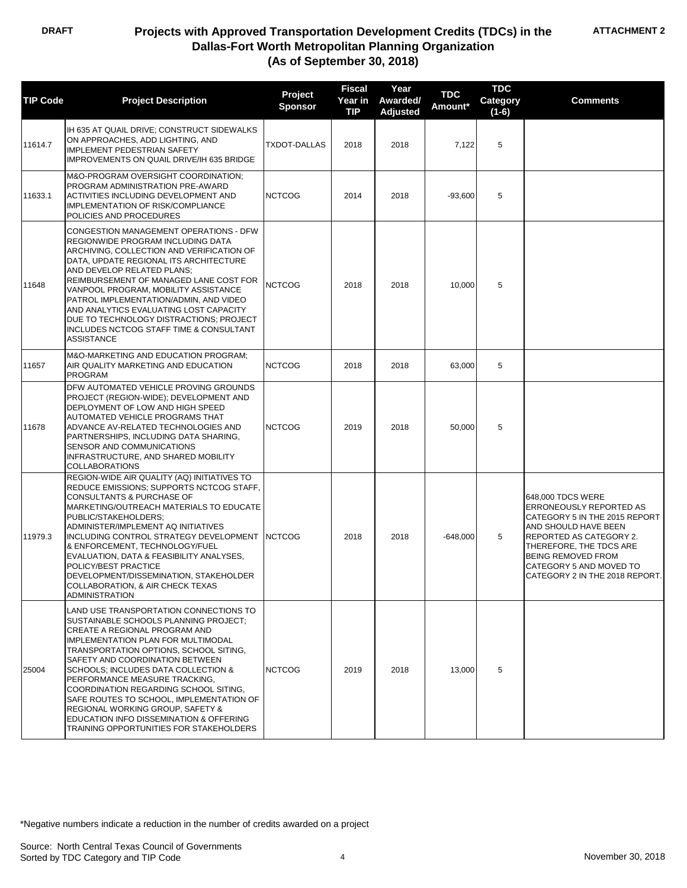| <b>TIP Code</b> | <b>Project Description</b>                                                                                                                                                                                                                                                                                                                                                                                                                                                                                                        | Project<br><b>Sponsor</b> | <b>Fiscal</b><br>Year in<br><b>TIP</b> | Year<br>Awarded/<br><b>Adjusted</b> | <b>TDC</b><br>Amount* | <b>TDC</b><br>Category<br>$(1-6)$ | <b>Comments</b>                                                                                                                                                                                                                                       |
|-----------------|-----------------------------------------------------------------------------------------------------------------------------------------------------------------------------------------------------------------------------------------------------------------------------------------------------------------------------------------------------------------------------------------------------------------------------------------------------------------------------------------------------------------------------------|---------------------------|----------------------------------------|-------------------------------------|-----------------------|-----------------------------------|-------------------------------------------------------------------------------------------------------------------------------------------------------------------------------------------------------------------------------------------------------|
| 11614.7         | IH 635 AT QUAIL DRIVE; CONSTRUCT SIDEWALKS<br>ON APPROACHES, ADD LIGHTING, AND<br><b>IMPLEMENT PEDESTRIAN SAFETY</b><br>IMPROVEMENTS ON QUAIL DRIVE/IH 635 BRIDGE                                                                                                                                                                                                                                                                                                                                                                 | <b>TXDOT-DALLAS</b>       | 2018                                   | 2018                                | 7,122                 | 5                                 |                                                                                                                                                                                                                                                       |
| 11633.1         | M&O-PROGRAM OVERSIGHT COORDINATION;<br>PROGRAM ADMINISTRATION PRE-AWARD<br>ACTIVITIES INCLUDING DEVELOPMENT AND<br><b>IMPLEMENTATION OF RISK/COMPLIANCE</b><br>POLICIES AND PROCEDURES                                                                                                                                                                                                                                                                                                                                            | <b>NCTCOG</b>             | 2014                                   | 2018                                | $-93,600$             | 5                                 |                                                                                                                                                                                                                                                       |
| 11648           | CONGESTION MANAGEMENT OPERATIONS - DFW<br>REGIONWIDE PROGRAM INCLUDING DATA<br>ARCHIVING, COLLECTION AND VERIFICATION OF<br>DATA, UPDATE REGIONAL ITS ARCHITECTURE<br>AND DEVELOP RELATED PLANS;<br>REIMBURSEMENT OF MANAGED LANE COST FOR<br>VANPOOL PROGRAM, MOBILITY ASSISTANCE<br>PATROL IMPLEMENTATION/ADMIN, AND VIDEO<br>AND ANALYTICS EVALUATING LOST CAPACITY<br>DUE TO TECHNOLOGY DISTRACTIONS; PROJECT<br>INCLUDES NCTCOG STAFF TIME & CONSULTANT<br><b>ASSISTANCE</b>                                                 | <b>NCTCOG</b>             | 2018                                   | 2018                                | 10,000                | 5                                 |                                                                                                                                                                                                                                                       |
| 11657           | M&O-MARKETING AND EDUCATION PROGRAM;<br>AIR QUALITY MARKETING AND EDUCATION<br><b>PROGRAM</b>                                                                                                                                                                                                                                                                                                                                                                                                                                     | <b>NCTCOG</b>             | 2018                                   | 2018                                | 63,000                | 5                                 |                                                                                                                                                                                                                                                       |
| 11678           | DFW AUTOMATED VEHICLE PROVING GROUNDS<br>PROJECT (REGION-WIDE); DEVELOPMENT AND<br>DEPLOYMENT OF LOW AND HIGH SPEED<br>AUTOMATED VEHICLE PROGRAMS THAT<br>ADVANCE AV-RELATED TECHNOLOGIES AND<br>PARTNERSHIPS, INCLUDING DATA SHARING,<br>SENSOR AND COMMUNICATIONS<br>INFRASTRUCTURE, AND SHARED MOBILITY<br><b>COLLABORATIONS</b>                                                                                                                                                                                               | <b>NCTCOG</b>             | 2019                                   | 2018                                | 50,000                | 5                                 |                                                                                                                                                                                                                                                       |
| 11979.3         | REGION-WIDE AIR QUALITY (AQ) INITIATIVES TO<br>REDUCE EMISSIONS; SUPPORTS NCTCOG STAFF,<br>CONSULTANTS & PURCHASE OF<br>MARKETING/OUTREACH MATERIALS TO EDUCATE<br>PUBLIC/STAKEHOLDERS;<br>ADMINISTER/IMPLEMENT AQ INITIATIVES<br>INCLUDING CONTROL STRATEGY DEVELOPMENT<br>& ENFORCEMENT, TECHNOLOGY/FUEL<br>EVALUATION, DATA & FEASIBILITY ANALYSES,<br>POLICY/BEST PRACTICE<br>DEVELOPMENT/DISSEMINATION, STAKEHOLDER<br>COLLABORATION, & AIR CHECK TEXAS<br>ADMINISTRATION                                                    | <b>NCTCOG</b>             | 2018                                   | 2018                                | $-648,000$            | 5                                 | 648,000 TDCS WERE<br>ERRONEOUSLY REPORTED AS<br>CATEGORY 5 IN THE 2015 REPORT<br>AND SHOULD HAVE BEEN<br>REPORTED AS CATEGORY 2.<br>THEREFORE, THE TDCS ARE<br><b>BEING REMOVED FROM</b><br>CATEGORY 5 AND MOVED TO<br>CATEGORY 2 IN THE 2018 REPORT. |
| 25004           | LAND USE TRANSPORTATION CONNECTIONS TO<br>SUSTAINABLE SCHOOLS PLANNING PROJECT;<br>CREATE A REGIONAL PROGRAM AND<br><b>IMPLEMENTATION PLAN FOR MULTIMODAL</b><br>TRANSPORTATION OPTIONS, SCHOOL SITING,<br>SAFETY AND COORDINATION BETWEEN<br>SCHOOLS; INCLUDES DATA COLLECTION &<br>PERFORMANCE MEASURE TRACKING,<br>COORDINATION REGARDING SCHOOL SITING,<br>SAFE ROUTES TO SCHOOL, IMPLEMENTATION OF<br>REGIONAL WORKING GROUP, SAFETY &<br>EDUCATION INFO DISSEMINATION & OFFERING<br>TRAINING OPPORTUNITIES FOR STAKEHOLDERS | <b>NCTCOG</b>             | 2019                                   | 2018                                | 13,000                | 5                                 |                                                                                                                                                                                                                                                       |

\*Negative numbers indicate a reduction in the number of credits awarded on a project